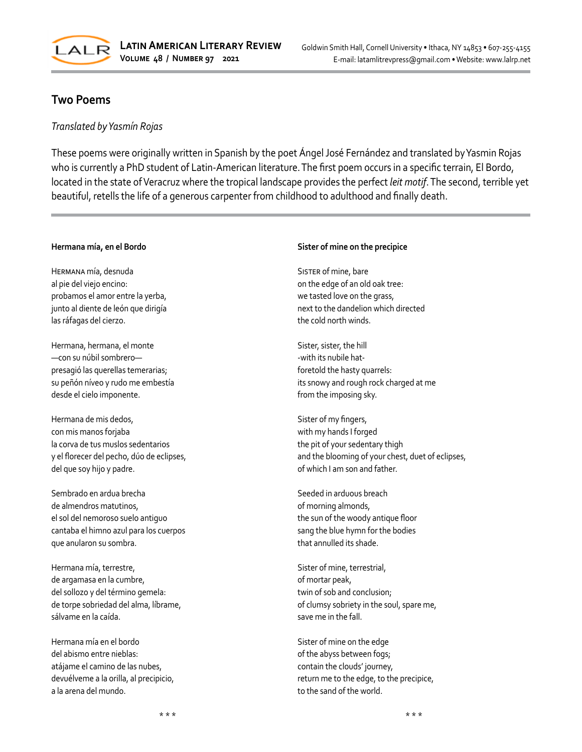

# **Two Poems**

## *Translated by Yasmín Rojas*

These poems were originally written in Spanish by the poet Ángel José Fernández and translated by Yasmin Rojas who is currently a PhD student of Latin-American literature. The first poem occurs in a specific terrain, El Bordo, located in the state of Veracruz where the tropical landscape provides the perfect *leit motif*. The second, terrible yet beautiful, retells the life of a generous carpenter from childhood to adulthood and finally death.

### **Hermana mía, en el Bordo**

Hermana mía, desnuda al pie del viejo encino: probamos el amor entre la yerba, junto al diente de león que dirigía las ráfagas del cierzo.

Hermana, hermana, el monte —con su núbil sombrero presagió las querellas temerarias; su peñón níveo y rudo me embestía desde el cielo imponente.

Hermana de mis dedos, con mis manos forjaba la corva de tus muslos sedentarios y el florecer del pecho, dúo de eclipses, del que soy hijo y padre.

Sembrado en ardua brecha de almendros matutinos, el sol del nemoroso suelo antiguo cantaba el himno azul para los cuerpos que anularon su sombra.

Hermana mía, terrestre, de argamasa en la cumbre, del sollozo y del término gemela: de torpe sobriedad del alma, líbrame, sálvame en la caída.

Hermana mía en el bordo del abismo entre nieblas: atájame el camino de las nubes, devuélveme a la orilla, al precipicio, a la arena del mundo.

#### **Sister of mine on the precipice**

SISTER of mine, bare on the edge of an old oak tree: we tasted love on the grass, next to the dandelion which directed the cold north winds.

Sister, sister, the hill -with its nubile hatforetold the hasty quarrels: its snowy and rough rock charged at me from the imposing sky.

Sister of my fingers, with my hands I forged the pit of your sedentary thigh and the blooming of your chest, duet of eclipses, of which I am son and father.

Seeded in arduous breach of morning almonds, the sun of the woody antique floor sang the blue hymn for the bodies that annulled its shade.

Sister of mine, terrestrial, of mortar peak, twin of sob and conclusion; of clumsy sobriety in the soul, spare me, save me in the fall.

Sister of mine on the edge of the abyss between fogs; contain the clouds' journey, return me to the edge, to the precipice, to the sand of the world.